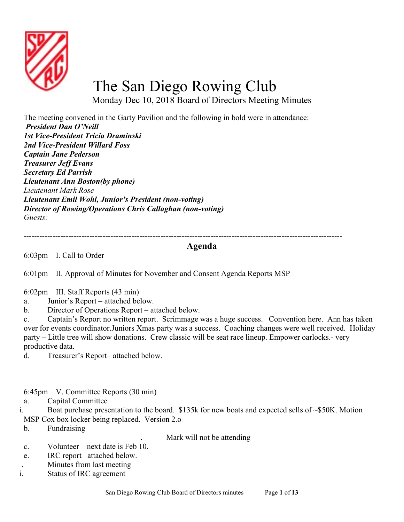

## The San Diego Rowing Club

Monday Dec 10, 2018 Board of Directors Meeting Minutes

The meeting convened in the Garty Pavilion and the following in bold were in attendance: President Dan O'Neill 1st Vice-President Tricia Draminski 2nd Vice-President Willard Foss Captain Jane Pederson Treasurer Jeff Evans Secretary Ed Parrish Lieutenant Ann Boston(by phone) Lieutenant Mark Rose Lieutenant Emil Wohl, Junior's President (non-voting) Director of Rowing/Operations Chris Callaghan (non-voting) Guests:

-------------------------------------------------------------------------------------------------------------------------

## Agenda

6:03pm I. Call to Order

6:01pm II. Approval of Minutes for November and Consent Agenda Reports MSP

- 6:02pm III. Staff Reports (43 min)
- a. Junior's Report attached below.
- b. Director of Operations Report attached below.

c. Captain's Report no written report. Scrimmage was a huge success. Convention here. Ann has taken over for events coordinator.Juniors Xmas party was a success. Coaching changes were well received. Holiday party – Little tree will show donations. Crew classic will be seat race lineup. Empower oarlocks.- very productive data.

d. Treasurer's Report– attached below.

6:45pm V. Committee Reports (30 min)

a. Capital Committee

i. Boat purchase presentation to the board. \$135k for new boats and expected sells of ~\$50K. Motion MSP Cox box locker being replaced. Version 2.o

b. Fundraising

. Mark will not be attending

- c. Volunteer next date is Feb 10.
- e. IRC report– attached below.
- . Minutes from last meeting
- i. Status of IRC agreement